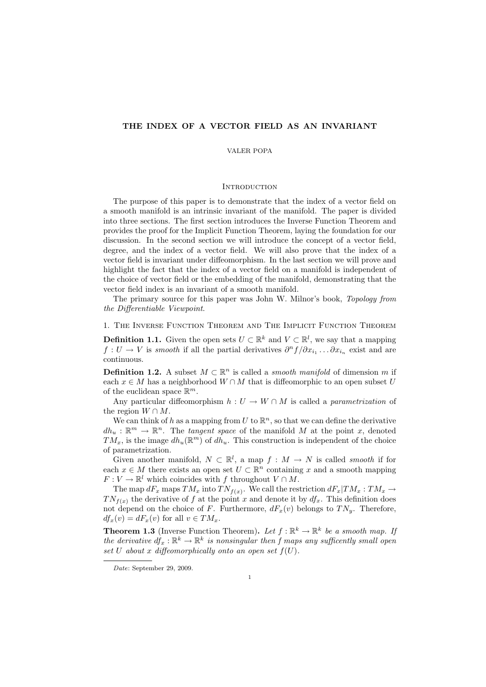# THE INDEX OF A VECTOR FIELD AS AN INVARIANT

#### VALER POPA

#### **INTRODUCTION**

The purpose of this paper is to demonstrate that the index of a vector field on a smooth manifold is an intrinsic invariant of the manifold. The paper is divided into three sections. The first section introduces the Inverse Function Theorem and provides the proof for the Implicit Function Theorem, laying the foundation for our discussion. In the second section we will introduce the concept of a vector field, degree, and the index of a vector field. We will also prove that the index of a vector field is invariant under diffeomorphism. In the last section we will prove and highlight the fact that the index of a vector field on a manifold is independent of the choice of vector field or the embedding of the manifold, demonstrating that the vector field index is an invariant of a smooth manifold.

The primary source for this paper was John W. Milnor's book, Topology from the Differentiable Viewpoint.

1. The Inverse Function Theorem and The Implicit Function Theorem

**Definition 1.1.** Given the open sets  $U \subset \mathbb{R}^k$  and  $V \subset \mathbb{R}^l$ , we say that a mapping  $f: U \to V$  is smooth if all the partial derivatives  $\partial^n f / \partial x_{i_1} \dots \partial x_{i_n}$  exist and are continuous.

**Definition 1.2.** A subset  $M \subset \mathbb{R}^n$  is called a *smooth manifold* of dimension m if each  $x \in M$  has a neighborhood  $W \cap M$  that is diffeomorphic to an open subset U of the euclidean space  $\mathbb{R}^m$ .

Any particular diffeomorphism  $h: U \to W \cap M$  is called a *parametrization* of the region  $W \cap M$ .

We can think of h as a mapping from U to  $\mathbb{R}^n$ , so that we can define the derivative  $dh_u: \mathbb{R}^m \to \mathbb{R}^n$ . The *tangent space* of the manifold M at the point x, denoted  $TM_x$ , is the image  $dh_u(\mathbb{R}^m)$  of  $dh_u$ . This construction is independent of the choice of parametrization.

Given another manifold,  $N \subset \mathbb{R}^l$ , a map  $f : M \to N$  is called *smooth* if for each  $x \in M$  there exists an open set  $U \subset \mathbb{R}^n$  containing x and a smooth mapping  $F: V \to \mathbb{R}^l$  which coincides with f throughout  $V \cap M$ .

The map  $dF_x$  maps  $TM_x$  into  $TN_{f(x)}$ . We call the restriction  $dF_x|TM_x : TM_x \to$  $TN_{f(x)}$  the derivative of f at the point x and denote it by  $df_x$ . This definition does not depend on the choice of F. Furthermore,  $dF_x(v)$  belongs to  $TN_y$ . Therefore,  $df_x(v) = dF_x(v)$  for all  $v \in TM_x$ .

**Theorem 1.3** (Inverse Function Theorem). Let  $f : \mathbb{R}^k \to \mathbb{R}^k$  be a smooth map. If the derivative  $df_x : \mathbb{R}^k \to \mathbb{R}^k$  is nonsingular then f maps any sufficently small open set U about x diffeomorphically onto an open set  $f(U)$ .

Date: September 29, 2009.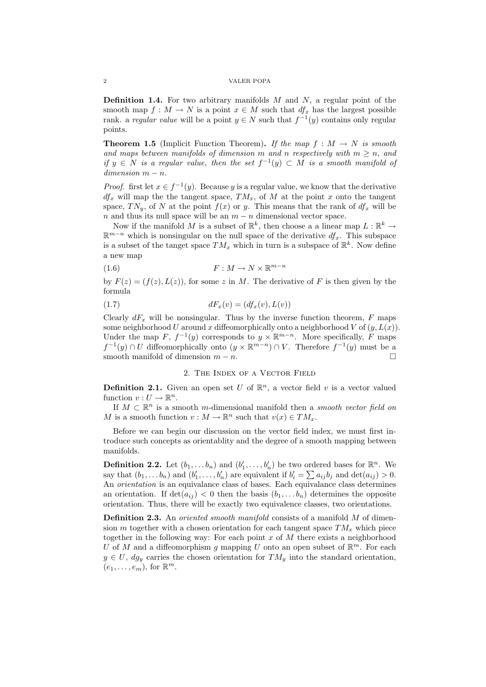### 2 VALER POPA

**Definition 1.4.** For two arbitrary manifolds  $M$  and  $N$ , a regular point of the smooth map  $f : M \to N$  is a point  $x \in M$  such that  $df_x$  has the largest possible rank. a regular value will be a point  $y \in N$  such that  $f^{-1}(y)$  contains only regular points.

**Theorem 1.5** (Implicit Function Theorem). If the map  $f : M \to N$  is smooth and maps between manifolds of dimension m and n respectively with  $m \geq n$ , and if  $y \in N$  is a regular value, then the set  $f^{-1}(y) \subset M$  is a smooth manifold of  $dimension \, m-n.$ 

*Proof.* first let  $x \in f^{-1}(y)$ . Because y is a regular value, we know that the derivative  $df_x$  will map the the tangent space,  $TM_x$ , of M at the point x onto the tangent space,  $TN_y$ , of N at the point  $f(x)$  or y. This means that the rank of  $df_x$  will be  $n$  and thus its null space will be an  $m - n$  dimensional vector space.

Now if the manifold M is a subset of  $\mathbb{R}^k$ , then choose a a linear map  $L : \mathbb{R}^k \to$  $\mathbb{R}^{m-n}$  which is nonsingular on the null space of the derivative  $df_x$ . This subspace is a subset of the tanget space  $TM_x$  which in turn is a subspace of  $\mathbb{R}^k$ . Now define a new map

$$
(1.6) \t\t\t F: M \to N \times \mathbb{R}^{m-n}
$$

by  $F(z) = (f(z), L(z))$ , for some z in M. The derivative of F is then given by the formula

$$
(1.7) \t dF_x(v) = (df_x(v), L(v))
$$

Clearly  $dF_x$  will be nonsingular. Thus by the inverse function theorem, F maps some neighborhood U around x diffeomorphically onto a neighborhood V of  $(y, L(x))$ . Under the map F,  $f^{-1}(y)$  corresponds to  $y \times \mathbb{R}^{m-n}$ . More specifically, F maps  $f^{-1}(y) \cap U$  diffeomorphically onto  $(y \times \mathbb{R}^{m-n}) \cap V$ . Therefore  $f^{-1}(y)$  must be a smooth manifold of dimension  $m - n$ .

# 2. The Index of a Vector Field

**Definition 2.1.** Given an open set U of  $\mathbb{R}^n$ , a vector field v is a vector valued function  $v: U \to \mathbb{R}^n$ .

If  $M \subset \mathbb{R}^n$  is a smooth m-dimensional manifold then a smooth vector field on M is a smooth function  $v : M \to \mathbb{R}^n$  such that  $v(x) \in TM_x$ .

Before we can begin our discussion on the vector field index, we must first introduce such concepts as orientablity and the degree of a smooth mapping between manifolds.

**Definition 2.2.** Let  $(b_1, \ldots, b_n)$  and  $(b'_1, \ldots, b'_n)$  be two ordered bases for  $\mathbb{R}^n$ . We say that  $(b_1, \ldots, b_n)$  and  $(b'_1, \ldots, b'_n)$  are equivalent if  $b'_i = \sum a_{ij} b_j$  and  $\det(a_{ij}) > 0$ . An orientation is an equivalance class of bases. Each equivalance class determines an orientation. If  $\det(a_{ij}) < 0$  then the basis  $(b_1, \ldots, b_n)$  determines the opposite orientation. Thus, there will be exactly two equivalence classes, two orientations.

Definition 2.3. An *oriented smooth manifold* consists of a manifold M of dimension m together with a chosen orientation for each tangent space  $TM_x$  which piece together in the following way: For each point  $x$  of  $M$  there exists a neighborhood U of M and a diffeomorphism g mapping U onto an open subset of  $\mathbb{R}^m$ . For each  $y \in U$ ,  $dg_y$  carries the chosen orientation for  $TM_y$  into the standard orientation,  $(e_1, \ldots, e_m)$ , for  $\mathbb{R}^m$ .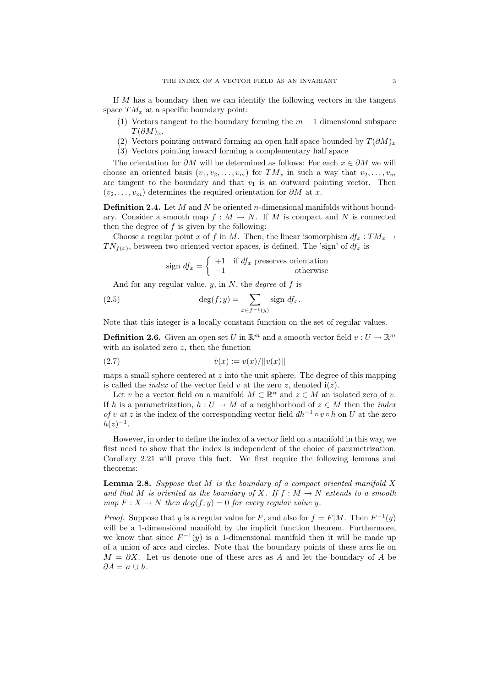If M has a boundary then we can identify the following vectors in the tangent space  $TM_x$  at a specific boundary point:

- (1) Vectors tangent to the boundary forming the  $m-1$  dimensional subspace  $T(\partial M)_r$ .
- (2) Vectors pointing outward forming an open half space bounded by  $T(\partial M)_x$
- (3) Vectors pointing inward forming a complementary half space

The orientation for  $\partial M$  will be determined as follows: For each  $x \in \partial M$  we will choose an oriented basis  $(v_1, v_2, \ldots, v_m)$  for  $TM_x$  in such a way that  $v_2, \ldots, v_m$ are tangent to the boundary and that  $v_1$  is an outward pointing vector. Then  $(v_2, \ldots, v_m)$  determines the required orientation for  $\partial M$  at x.

**Definition 2.4.** Let M and N be oriented n-dimensional manifolds without boundary. Consider a smooth map  $f : M \to N$ . If M is compact and N is connected then the degree of  $f$  is given by the following:

Choose a regular point x of f in M. Then, the linear isomorphism  $df_x: TM_x \to$  $TN_{f(x)}$ , between two oriented vector spaces, is defined. The 'sign' of  $df_x$  is

$$
sign\ df_x = \begin{cases} +1 & \text{if } df_x \text{ preserves orientation} \\ -1 & \text{otherwise} \end{cases}
$$

And for any regular value,  $y$ , in  $N$ , the *degree* of  $f$  is

(2.5) 
$$
\deg(f; y) = \sum_{x \in f^{-1}(y)} \text{sign } df_x.
$$

Note that this integer is a locally constant function on the set of regular values.

**Definition 2.6.** Given an open set U in  $\mathbb{R}^m$  and a smooth vector field  $v: U \to \mathbb{R}^m$ with an isolated zero  $z$ , then the function

(2.7) 
$$
\bar{v}(x) := v(x)/||v(x)||
$$

maps a small sphere centered at  $z$  into the unit sphere. The degree of this mapping is called the *index* of the vector field v at the zero z, denoted  $\mathbf{i}(z)$ .

Let v be a vector field on a manifold  $M \subset \mathbb{R}^n$  and  $z \in M$  an isolated zero of v. If h is a parametrization,  $h: U \to M$  of a neighborhood of  $z \in M$  then the *index* of v at z is the index of the corresponding vector field  $dh^{-1} \circ v \circ h$  on U at the zero  $h(z)^{-1}$ .

However, in order to define the index of a vector field on a manifold in this way, we first need to show that the index is independent of the choice of parametrization. Corollary 2.21 will prove this fact. We first require the following lemmas and theorems:

**Lemma 2.8.** Suppose that  $M$  is the boundary of a compact oriented manifold  $X$ and that M is oriented as the boundary of X. If  $f : M \to N$  extends to a smooth map  $F: X \to N$  then  $deg(f; y) = 0$  for every regular value y.

*Proof.* Suppose that y is a regular value for F, and also for  $f = F|M$ . Then  $F^{-1}(y)$ will be a 1-dimensional manifold by the implicit function theorem. Furthermore, we know that since  $F^{-1}(y)$  is a 1-dimensional manifold then it will be made up of a union of arcs and circles. Note that the boundary points of these arcs lie on  $M = \partial X$ . Let us denote one of these arcs as A and let the boundary of A be  $\partial A = a \cup b$ .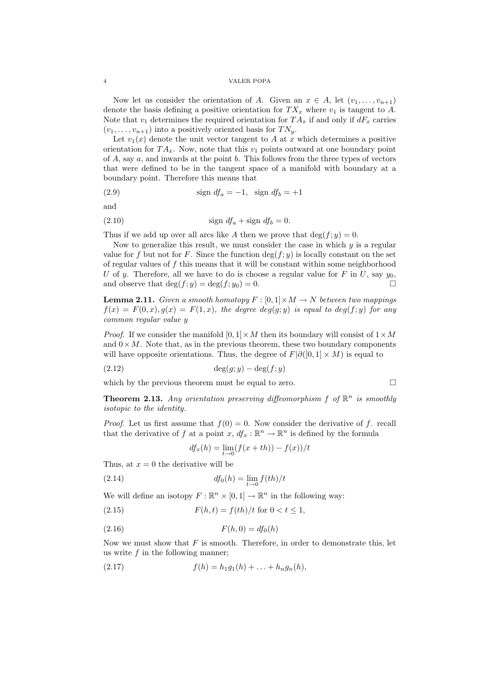### 4 VALER POPA

Now let us consider the orientation of A. Given an  $x \in A$ , let  $(v_1, \ldots, v_{n+1})$ denote the basis defining a positive orientation for  $TX_x$  where  $v_1$  is tangent to A. Note that  $v_1$  determines the required orientation for  $TA_x$  if and only if  $dF_x$  carries  $(v_1, \ldots, v_{n+1})$  into a positively oriented basis for  $TN_u$ .

Let  $v_1(x)$  denote the unit vector tangent to A at x which determines a positive orientation for  $TA_x$ . Now, note that this  $v_1$  points outward at one boundary point of  $A$ , say  $a$ , and inwards at the point  $b$ . This follows from the three types of vectors that were defined to be in the tangent space of a manifold with boundary at a boundary point. Therefore this means that

$$
(2.9) \t\t sign \t df_a = -1, \t sign \t df_b = +1
$$

and

$$
(2.10) \t\t sign \t df_a + sign \t df_b = 0.
$$

Thus if we add up over all arcs like A then we prove that  $\deg(f; y) = 0$ .

Now to generalize this result, we must consider the case in which  $y$  is a regular value for f but not for F. Since the function  $\deg(f; y)$  is locally constant on the set of regular values of  $f$  this means that it will be constant within some neighborhood U of y. Therefore, all we have to do is choose a regular value for F in U, say  $y_0$ , and observe that  $\deg(f; y) = \deg(f; y_0) = 0.$ 

**Lemma 2.11.** Given a smooth homotopy  $F : [0,1] \times M \rightarrow N$  between two mappings  $f(x) = F(0, x), g(x) = F(1, x),$  the degree  $deg(g; y)$  is equal to  $deg(f; y)$  for any common regular value y

*Proof.* If we consider the manifold  $[0, 1] \times M$  then its boundary will consist of  $1 \times M$ and  $0 \times M$ . Note that, as in the previous theorem, these two boundary components will have opposite orientations. Thus, the degree of  $F|\partial([0,1] \times M)$  is equal to

$$
(2.12)\qquad \qquad \deg(g; y) - \deg(f; y)
$$

which by the previous theorem must be equal to zero.  $\Box$ 

**Theorem 2.13.** Any orientation preserving diffeomorphism  $f$  of  $\mathbb{R}^n$  is smoothly isotopic to the identity.

*Proof.* Let us first assume that  $f(0) = 0$ . Now consider the derivative of f. recall that the derivative of f at a point  $x, df_x : \mathbb{R}^n \to \mathbb{R}^n$  is defined by the formula

$$
df_x(h) = \lim_{t \to 0} (f(x+th)) - f(x))/t
$$

Thus, at  $x = 0$  the derivative will be

$$
df_0(h) = \lim_{t \to 0} f(th)/t
$$

We will define an isotopy  $F: \mathbb{R}^n \times [0,1] \to \mathbb{R}^n$  in the following way:

(2.15) 
$$
F(h, t) = f(th)/t \text{ for } 0 < t \le 1,
$$

$$
(2.16) \t\t\t F(h,0) = df_0(h)
$$

Now we must show that  $F$  is smooth. Therefore, in order to demonstrate this, let us write  $f$  in the following manner;

(2.17) 
$$
f(h) = h_1 g_1(h) + \ldots + h_n g_n(h),
$$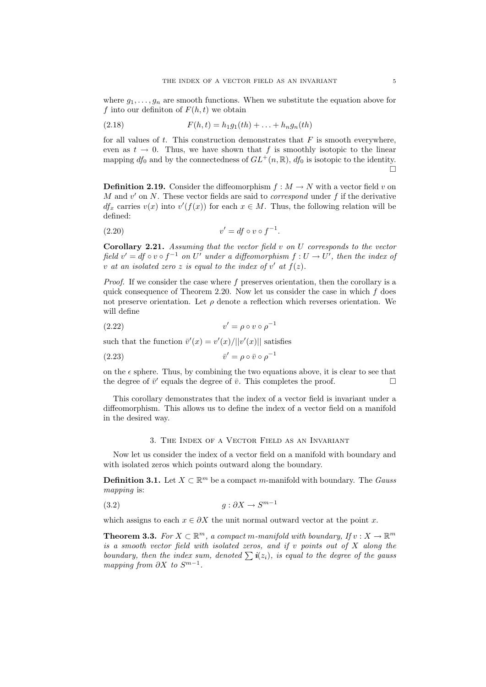where  $g_1, \ldots, g_n$  are smooth functions. When we substitute the equation above for f into our definiton of  $F(h, t)$  we obtain

(2.18) 
$$
F(h,t) = h_1 g_1(th) + \ldots + h_n g_n(th)
$$

for all values of  $t$ . This construction demonstrates that  $F$  is smooth everywhere, even as  $t \to 0$ . Thus, we have shown that f is smoothly isotopic to the linear mapping  $df_0$  and by the connectedness of  $GL^+(n,\mathbb{R})$ ,  $df_0$  is isotopic to the identity.  $\Box$ 

**Definition 2.19.** Consider the diffeomorphism  $f : M \to N$  with a vector field v on M and  $v'$  on N. These vector fields are said to *correspond* under  $f$  if the derivative  $df_x$  carries  $v(x)$  into  $v'(f(x))$  for each  $x \in M$ . Thus, the following relation will be defined:

$$
(2.20) \t\t v' = df \circ v \circ f^{-1}.
$$

**Corollary 2.21.** Assuming that the vector field v on U corresponds to the vector field  $v' = df \circ v \circ f^{-1}$  on U' under a diffeomorphism  $f: U \to U'$ , then the index of v at an isolated zero z is equal to the index of  $v'$  at  $f(z)$ .

Proof. If we consider the case where f preserves orientation, then the corollary is a quick consequence of Theorem 2.20. Now let us consider the case in which  $f$  does not preserve orientation. Let  $\rho$  denote a reflection which reverses orientation. We will define

$$
(2.22) \t\t v' = \rho \circ v \circ \rho^{-1}
$$

such that the function  $\bar{v}'(x) = v'(x)/||v'(x)||$  satisfies

$$
\bar{v}' = \rho \circ \bar{v} \circ \rho^{-1}
$$

on the  $\epsilon$  sphere. Thus, by combining the two equations above, it is clear to see that the degree of  $\bar{v}'$  equals the degree of  $\bar{v}$ . This completes the proof.

This corollary demonstrates that the index of a vector field is invariant under a diffeomorphism. This allows us to define the index of a vector field on a manifold in the desired way.

# 3. The Index of a Vector Field as an Invariant

Now let us consider the index of a vector field on a manifold with boundary and with isolated zeros which points outward along the boundary.

**Definition 3.1.** Let  $X \subset \mathbb{R}^m$  be a compact m-manifold with boundary. The *Gauss* mapping is:

$$
(3.2) \t\t\t g: \partial X \to S^{m-1}
$$

which assigns to each  $x \in \partial X$  the unit normal outward vector at the point x.

**Theorem 3.3.** For  $X \subset \mathbb{R}^m$ , a compact m-manifold with boundary, If  $v : X \to \mathbb{R}^m$ is a smooth vector field with isolated zeros, and if v points out of  $X$  along the boundary, then the index sum, denoted  $\sum i(z_i)$ , is equal to the degree of the gauss mapping from  $\partial X$  to  $S^{m-1}$ .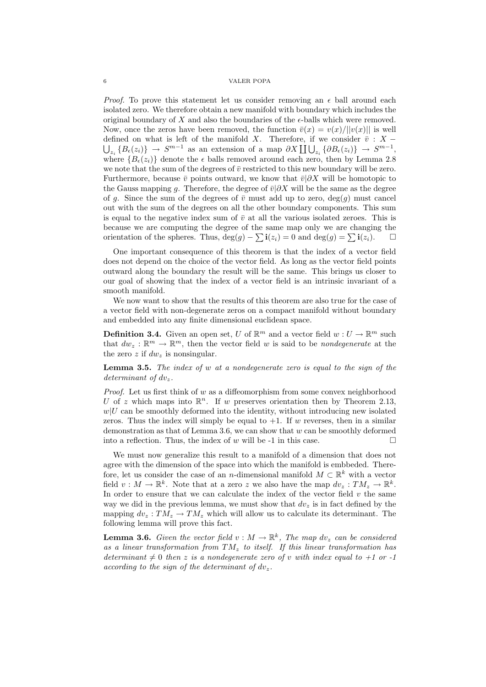*Proof.* To prove this statement let us consider removing an  $\epsilon$  ball around each isolated zero. We therefore obtain a new manifold with boundary which includes the original boundary of  $X$  and also the boundaries of the  $\epsilon$ -balls which were removed. Now, once the zeros have been removed, the function  $\bar{v}(x) = v(x)/||v(x)||$  is well defined on what is left of the manifold X. Therefore, if we consider  $\bar{v}$  : X −  $\bigcup_{z_i} \{B_{\epsilon}(z_i)\} \to S^{m-1}$  as an extension of a map  $\partial X \coprod \bigcup_{z_i} \{\partial B_{\epsilon}(z_i)\} \to S^{m-1}$ , where  ${B_{\epsilon}(z_i)}$  denote the  $\epsilon$  balls removed around each zero, then by Lemma 2.8 we note that the sum of the degrees of  $\bar{v}$  restricted to this new boundary will be zero. Furthermore, because  $\bar{v}$  points outward, we know that  $\bar{v}|\partial X$  will be homotopic to the Gauss mapping g. Therefore, the degree of  $\bar{v}|\partial X$  will be the same as the degree of g. Since the sum of the degrees of  $\bar{v}$  must add up to zero, deg(g) must cancel out with the sum of the degrees on all the other boundary components. This sum is equal to the negative index sum of  $\bar{v}$  at all the various isolated zeroes. This is because we are computing the degree of the same map only we are changing the orientation of the spheres. Thus,  $deg(g) - \sum i(z_i) = 0$  and  $deg(g) = \sum i(z_i)$ . □

One important consequence of this theorem is that the index of a vector field does not depend on the choice of the vector field. As long as the vector field points outward along the boundary the result will be the same. This brings us closer to our goal of showing that the index of a vector field is an intrinsic invariant of a smooth manifold.

We now want to show that the results of this theorem are also true for the case of a vector field with non-degenerate zeros on a compact manifold without boundary and embedded into any finite dimensional euclidean space.

**Definition 3.4.** Given an open set, U of  $\mathbb{R}^m$  and a vector field  $w: U \to \mathbb{R}^m$  such that  $dw_z : \mathbb{R}^m \to \mathbb{R}^m$ , then the vector field w is said to be *nondegenerate* at the the zero z if  $dw_z$  is nonsingular.

Lemma 3.5. The index of w at a nondegenerate zero is equal to the sign of the determinant of  $dv_z$ .

*Proof.* Let us first think of  $w$  as a diffeomorphism from some convex neighborhood U of z which maps into  $\mathbb{R}^n$ . If w preserves orientation then by Theorem 2.13,  $w|U$  can be smoothly deformed into the identity, without introducing new isolated zeros. Thus the index will simply be equal to  $+1$ . If w reverses, then in a similar demonstration as that of Lemma 3.6, we can show that  $w$  can be smoothly deformed into a reflection. Thus, the index of w will be -1 in this case.  $\square$ 

We must now generalize this result to a manifold of a dimension that does not agree with the dimension of the space into which the manifold is embbeded. Therefore, let us consider the case of an n-dimensional manifold  $M \subset \mathbb{R}^k$  with a vector field  $v: M \to \mathbb{R}^k$ . Note that at a zero z we also have the map  $dv_z: TM_z \to \mathbb{R}^k$ . In order to ensure that we can calculate the index of the vector field  $v$  the same way we did in the previous lemma, we must show that  $dv_z$  is in fact defined by the mapping  $dv_z : TM_z \to TM_z$  which will allow us to calculate its determinant. The following lemma will prove this fact.

**Lemma 3.6.** Given the vector field  $v : M \to \mathbb{R}^k$ , The map  $dv_z$  can be considered as a linear transformation from  $TM_z$  to itself. If this linear transformation has determinant  $\neq 0$  then z is a nondegenerate zero of v with index equal to  $+1$  or -1 according to the sign of the determinant of  $dv_z$ .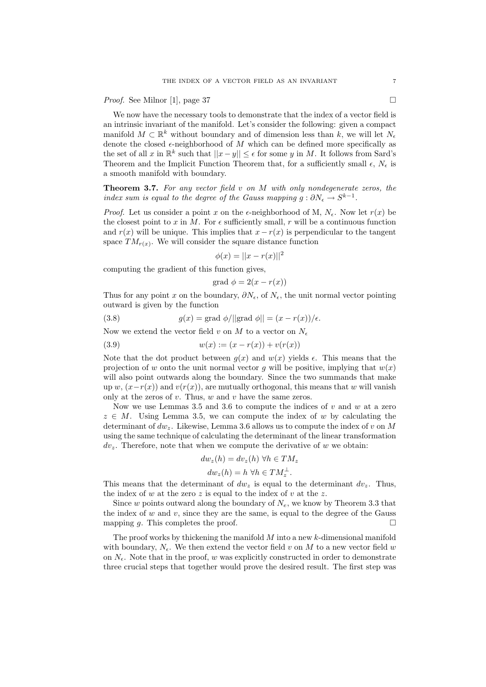*Proof.* See Milnor [1], page 37

We now have the necessary tools to demonstrate that the index of a vector field is an intrinsic invariant of the manifold. Let's consider the following: given a compact manifold  $M \subset \mathbb{R}^k$  without boundary and of dimension less than k, we will let  $N_{\epsilon}$ denote the closed  $\epsilon$ -neighborhood of M which can be defined more specifically as the set of all x in  $\mathbb{R}^k$  such that  $||x-y|| \leq \epsilon$  for some y in M. It follows from Sard's Theorem and the Implicit Function Theorem that, for a sufficiently small  $\epsilon$ ,  $N_{\epsilon}$  is a smooth manifold with boundary.

**Theorem 3.7.** For any vector field  $v$  on  $M$  with only nondegenerate zeros, the index sum is equal to the degree of the Gauss mapping  $g: \partial N_{\epsilon} \to S^{k-1}$ .

*Proof.* Let us consider a point x on the  $\epsilon$ -neighborhood of M,  $N_{\epsilon}$ . Now let  $r(x)$  be the closest point to x in M. For  $\epsilon$  sufficiently small, r will be a continuous function and  $r(x)$  will be unique. This implies that  $x - r(x)$  is perpendicular to the tangent space  $TM_{r(x)}$ . We will consider the square distance function

$$
\phi(x) = ||x - r(x)||^2
$$

computing the gradient of this function gives,

$$
grad \phi = 2(x - r(x))
$$

Thus for any point x on the boundary,  $\partial N_{\epsilon}$ , of  $N_{\epsilon}$ , the unit normal vector pointing outward is given by the function

(3.8) 
$$
g(x) = \text{grad } \phi / ||\text{grad } \phi|| = (x - r(x))/\epsilon.
$$

Now we extend the vector field v on M to a vector on  $N_{\epsilon}$ 

(3.9) 
$$
w(x) := (x - r(x)) + v(r(x))
$$

Note that the dot product between  $q(x)$  and  $w(x)$  yields  $\epsilon$ . This means that the projection of w onto the unit normal vector g will be positive, implying that  $w(x)$ will also point outwards along the boundary. Since the two summands that make up w,  $(x-r(x))$  and  $v(r(x))$ , are mutually orthogonal, this means that w will vanish only at the zeros of  $v$ . Thus,  $w$  and  $v$  have the same zeros.

Now we use Lemmas 3.5 and 3.6 to compute the indices of  $v$  and  $w$  at a zero  $z \in M$ . Using Lemma 3.5, we can compute the index of w by calculating the determinant of  $dw_z$ . Likewise, Lemma 3.6 allows us to compute the index of v on M using the same technique of calculating the determinant of the linear transformation  $dv_z$ . Therefore, note that when we compute the derivative of w we obtain:

$$
dw_z(h) = dv_z(h) \,\,\forall h \in TM_z
$$

$$
dw_z(h) = h \,\,\forall h \in TM_z^{\perp}.
$$

This means that the determinant of  $dw_z$  is equal to the determinant  $dv_z$ . Thus, the index of w at the zero z is equal to the index of v at the z.

Since w points outward along the boundary of  $N_e$ , we know by Theorem 3.3 that the index of  $w$  and  $v$ , since they are the same, is equal to the degree of the Gauss mapping g. This completes the proof.  $\square$ 

The proof works by thickening the manifold  $M$  into a new  $k$ -dimensional manifold with boundary,  $N_{\epsilon}$ . We then extend the vector field v on M to a new vector field w on  $N_{\epsilon}$ . Note that in the proof, w was explicitly constructed in order to demonstrate three crucial steps that together would prove the desired result. The first step was